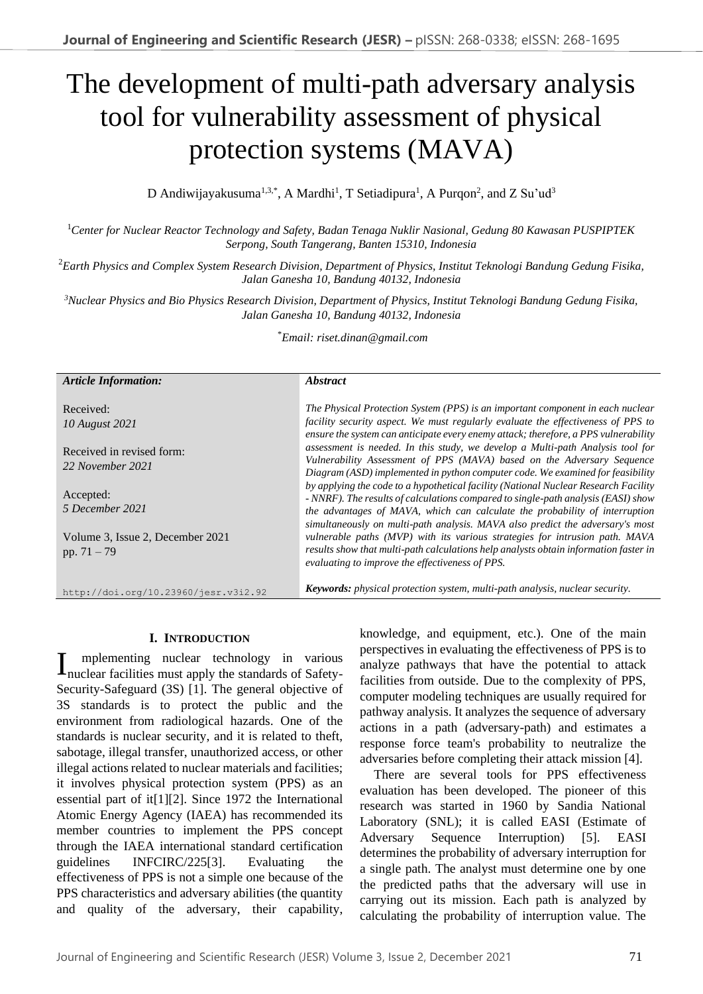# The development of multi-path adversary analysis tool for vulnerability assessment of physical protection systems (MAVA)

D Andiwijayakusuma<sup>1,3,\*</sup>, A Mardhi<sup>1</sup>, T Setiadipura<sup>1</sup>, A Purqon<sup>2</sup>, and Z Su'ud<sup>3</sup>

<sup>1</sup>*Center for Nuclear Reactor Technology and Safety, Badan Tenaga Nuklir Nasional, Gedung 80 Kawasan PUSPIPTEK Serpong, South Tangerang, Banten 15310, Indonesia*

<sup>2</sup>*Earth Physics and Complex System Research Division, Department of Physics, Institut Teknologi Bandung Gedung Fisika, Jalan Ganesha 10, Bandung 40132, Indonesia*

*<sup>3</sup>Nuclear Physics and Bio Physics Research Division, Department of Physics, Institut Teknologi Bandung Gedung Fisika, Jalan Ganesha 10, Bandung 40132, Indonesia*

\**Email: riset.dinan@gmail.com*

| <b>Article Information:</b>                       | <i><b>Abstract</b></i>                                                                                                                                                                                                                                                                                                                   |
|---------------------------------------------------|------------------------------------------------------------------------------------------------------------------------------------------------------------------------------------------------------------------------------------------------------------------------------------------------------------------------------------------|
| Received:<br>10 August 2021                       | The Physical Protection System (PPS) is an important component in each nuclear<br>facility security aspect. We must regularly evaluate the effectiveness of PPS to<br>ensure the system can anticipate every enemy attack; therefore, a PPS vulnerability                                                                                |
| Received in revised form:<br>22 November 2021     | assessment is needed. In this study, we develop a Multi-path Analysis tool for<br>Vulnerability Assessment of PPS (MAVA) based on the Adversary Sequence<br>Diagram (ASD) implemented in python computer code. We examined for feasibility                                                                                               |
| Accepted:<br>5 December 2021                      | by applying the code to a hypothetical facility (National Nuclear Research Facility<br>- NNRF). The results of calculations compared to single-path analysis (EASI) show<br>the advantages of MAVA, which can calculate the probability of interruption<br>simultaneously on multi-path analysis. MAVA also predict the adversary's most |
| Volume 3, Issue 2, December 2021<br>pp. $71 - 79$ | vulnerable paths (MVP) with its various strategies for intrusion path. MAVA<br>results show that multi-path calculations help analysts obtain information faster in<br>evaluating to improve the effectiveness of PPS.                                                                                                                   |
| http://doi.org/10.23960/jesr.v3i2.92              | <b>Keywords:</b> physical protection system, multi-path analysis, nuclear security.                                                                                                                                                                                                                                                      |

## **I. INTRODUCTION**

mplementing nuclear technology in various Implementing nuclear technology in various<br>nuclear facilities must apply the standards of Safety-Security-Safeguard (3S) [1]. The general objective of 3S standards is to protect the public and the environment from radiological hazards. One of the standards is nuclear security, and it is related to theft, sabotage, illegal transfer, unauthorized access, or other illegal actions related to nuclear materials and facilities; it involves physical protection system (PPS) as an essential part of it[1][2]. Since 1972 the International Atomic Energy Agency (IAEA) has recommended its member countries to implement the PPS concept through the IAEA international standard certification guidelines INFCIRC/225[3]. Evaluating the effectiveness of PPS is not a simple one because of the PPS characteristics and adversary abilities (the quantity and quality of the adversary, their capability, knowledge, and equipment, etc.). One of the main perspectives in evaluating the effectiveness of PPS is to analyze pathways that have the potential to attack facilities from outside. Due to the complexity of PPS, computer modeling techniques are usually required for pathway analysis. It analyzes the sequence of adversary actions in a path (adversary-path) and estimates a response force team's probability to neutralize the adversaries before completing their attack mission [4].

There are several tools for PPS effectiveness evaluation has been developed. The pioneer of this research was started in 1960 by Sandia National Laboratory (SNL); it is called EASI (Estimate of Adversary Sequence Interruption) [5]. EASI determines the probability of adversary interruption for a single path. The analyst must determine one by one the predicted paths that the adversary will use in carrying out its mission. Each path is analyzed by calculating the probability of interruption value. The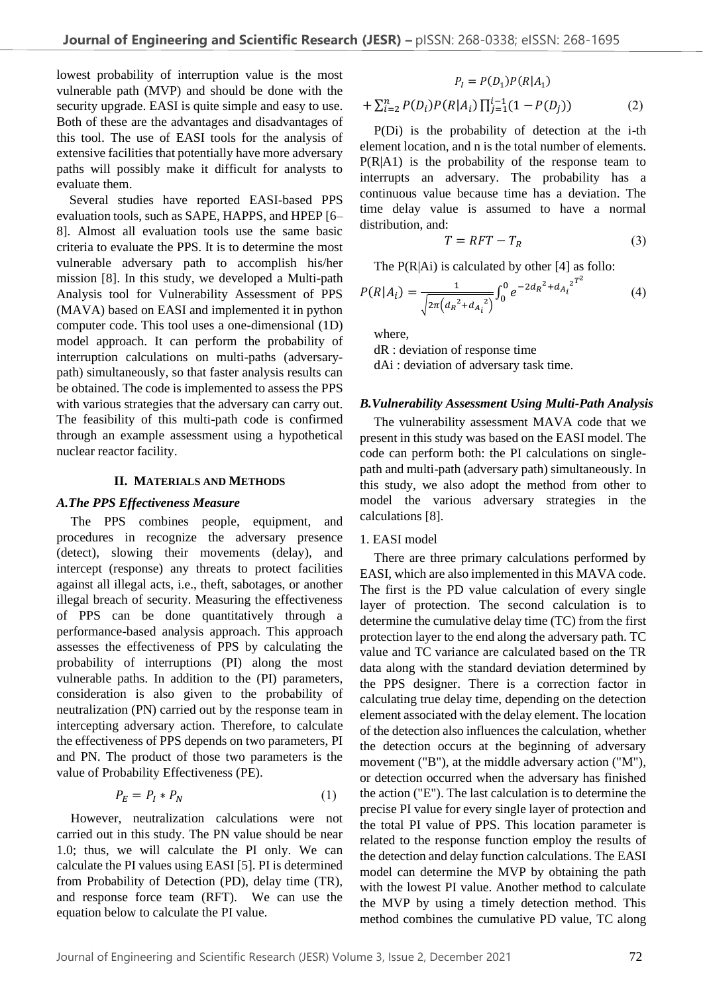lowest probability of interruption value is the most vulnerable path (MVP) and should be done with the security upgrade. EASI is quite simple and easy to use. Both of these are the advantages and disadvantages of this tool. The use of EASI tools for the analysis of extensive facilities that potentially have more adversary paths will possibly make it difficult for analysts to evaluate them.

 Several studies have reported EASI-based PPS evaluation tools, such as SAPE, HAPPS, and HPEP [6– 8]. Almost all evaluation tools use the same basic criteria to evaluate the PPS. It is to determine the most vulnerable adversary path to accomplish his/her mission [8]. In this study, we developed a Multi-path Analysis tool for Vulnerability Assessment of PPS (MAVA) based on EASI and implemented it in python computer code. This tool uses a one-dimensional (1D) model approach. It can perform the probability of interruption calculations on multi-paths (adversarypath) simultaneously, so that faster analysis results can be obtained. The code is implemented to assess the PPS with various strategies that the adversary can carry out. The feasibility of this multi-path code is confirmed through an example assessment using a hypothetical nuclear reactor facility.

## **II. MATERIALS AND METHODS**

#### *A.The PPS Effectiveness Measure*

The PPS combines people, equipment, and procedures in recognize the adversary presence (detect), slowing their movements (delay), and intercept (response) any threats to protect facilities against all illegal acts, i.e., theft, sabotages, or another illegal breach of security. Measuring the effectiveness of PPS can be done quantitatively through a performance-based analysis approach. This approach assesses the effectiveness of PPS by calculating the probability of interruptions (PI) along the most vulnerable paths. In addition to the (PI) parameters, consideration is also given to the probability of neutralization (PN) carried out by the response team in intercepting adversary action. Therefore, to calculate the effectiveness of PPS depends on two parameters, PI and PN. The product of those two parameters is the value of Probability Effectiveness (PE).

$$
P_E = P_I \ast P_N \tag{1}
$$

However, neutralization calculations were not carried out in this study. The PN value should be near 1.0; thus, we will calculate the PI only. We can calculate the PI values using EASI [5]. PI is determined from Probability of Detection (PD), delay time (TR), and response force team (RFT). We can use the equation below to calculate the PI value.

$$
P_{I} = P(D_{1})P(R|A_{1})
$$
  
+  $\sum_{i=2}^{n} P(D_{i})P(R|A_{i}) \prod_{j=1}^{i-1} (1 - P(D_{j}))$  (2)

P(Di) is the probability of detection at the i-th element location, and n is the total number of elements. P(R|A1) is the probability of the response team to interrupts an adversary. The probability has a continuous value because time has a deviation. The time delay value is assumed to have a normal distribution, and:

$$
T = RFT - T_R \tag{3}
$$

The  $P(R|Ai)$  is calculated by other [4] as follo:

$$
P(R|A_i) = \frac{1}{\sqrt{2\pi (d_R^2 + d_{A_i}^2)}} \int_0^0 e^{-2d_R^2 + d_{A_i}^2} e^{T^2}
$$
 (4)

where,

dR : deviation of response time dAi : deviation of adversary task time.

#### *B.Vulnerability Assessment Using Multi-Path Analysis*

The vulnerability assessment MAVA code that we present in this study was based on the EASI model. The code can perform both: the PI calculations on singlepath and multi-path (adversary path) simultaneously. In this study, we also adopt the method from other to model the various adversary strategies in the calculations [8].

#### 1. EASI model

There are three primary calculations performed by EASI, which are also implemented in this MAVA code. The first is the PD value calculation of every single layer of protection. The second calculation is to determine the cumulative delay time (TC) from the first protection layer to the end along the adversary path. TC value and TC variance are calculated based on the TR data along with the standard deviation determined by the PPS designer. There is a correction factor in calculating true delay time, depending on the detection element associated with the delay element. The location of the detection also influences the calculation, whether the detection occurs at the beginning of adversary movement ("B"), at the middle adversary action ("M"), or detection occurred when the adversary has finished the action ("E"). The last calculation is to determine the precise PI value for every single layer of protection and the total PI value of PPS. This location parameter is related to the response function employ the results of the detection and delay function calculations. The EASI model can determine the MVP by obtaining the path with the lowest PI value. Another method to calculate the MVP by using a timely detection method. This method combines the cumulative PD value, TC along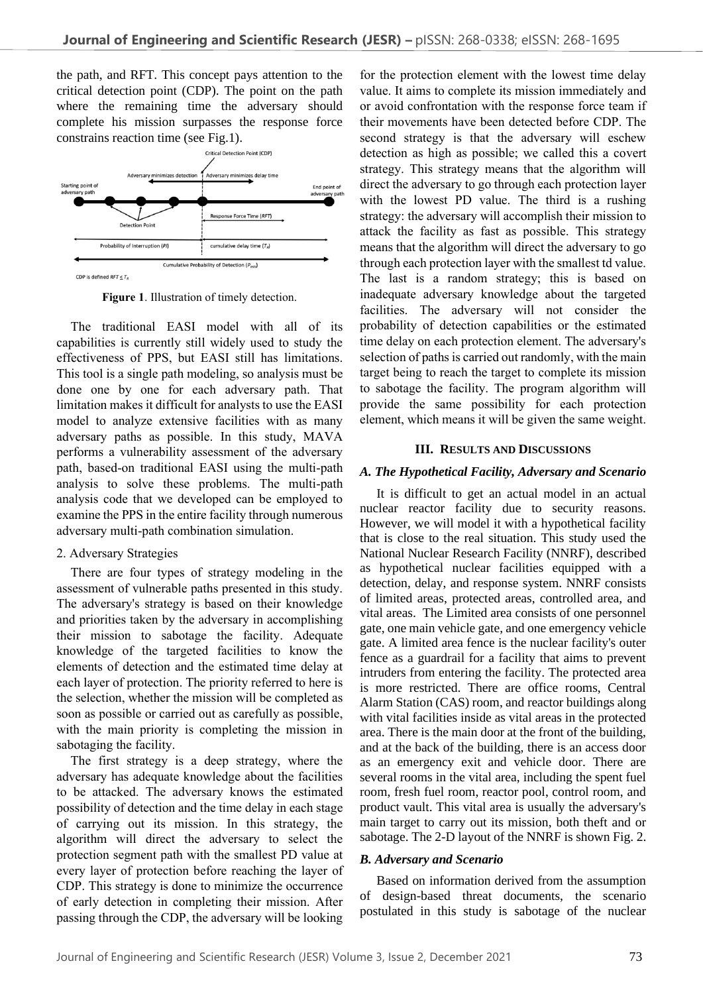the path, and RFT. This concept pays attention to the critical detection point (CDP). The point on the path where the remaining time the adversary should complete his mission surpasses the response force constrains reaction time (see Fig.1).



**Figure 1**. Illustration of timely detection.

The traditional EASI model with all of its capabilities is currently still widely used to study the effectiveness of PPS, but EASI still has limitations. This tool is a single path modeling, so analysis must be done one by one for each adversary path. That limitation makes it difficult for analysts to use the EASI model to analyze extensive facilities with as many adversary paths as possible. In this study, MAVA performs a vulnerability assessment of the adversary path, based-on traditional EASI using the multi-path analysis to solve these problems. The multi-path analysis code that we developed can be employed to examine the PPS in the entire facility through numerous adversary multi-path combination simulation.

# 2. Adversary Strategies

There are four types of strategy modeling in the assessment of vulnerable paths presented in this study. The adversary's strategy is based on their knowledge and priorities taken by the adversary in accomplishing their mission to sabotage the facility. Adequate knowledge of the targeted facilities to know the elements of detection and the estimated time delay at each layer of protection. The priority referred to here is the selection, whether the mission will be completed as soon as possible or carried out as carefully as possible, with the main priority is completing the mission in sabotaging the facility.

The first strategy is a deep strategy, where the adversary has adequate knowledge about the facilities to be attacked. The adversary knows the estimated possibility of detection and the time delay in each stage of carrying out its mission. In this strategy, the algorithm will direct the adversary to select the protection segment path with the smallest PD value at every layer of protection before reaching the layer of CDP. This strategy is done to minimize the occurrence of early detection in completing their mission. After passing through the CDP, the adversary will be looking

for the protection element with the lowest time delay value. It aims to complete its mission immediately and or avoid confrontation with the response force team if their movements have been detected before CDP. The second strategy is that the adversary will eschew detection as high as possible; we called this a covert strategy. This strategy means that the algorithm will direct the adversary to go through each protection layer with the lowest PD value. The third is a rushing strategy: the adversary will accomplish their mission to attack the facility as fast as possible. This strategy means that the algorithm will direct the adversary to go through each protection layer with the smallest td value. The last is a random strategy; this is based on inadequate adversary knowledge about the targeted facilities. The adversary will not consider the probability of detection capabilities or the estimated time delay on each protection element. The adversary's selection of paths is carried out randomly, with the main target being to reach the target to complete its mission to sabotage the facility. The program algorithm will provide the same possibility for each protection element, which means it will be given the same weight.

## **III. RESULTS AND DISCUSSIONS**

# *A. The Hypothetical Facility, Adversary and Scenario*

It is difficult to get an actual model in an actual nuclear reactor facility due to security reasons. However, we will model it with a hypothetical facility that is close to the real situation. This study used the National Nuclear Research Facility (NNRF), described as hypothetical nuclear facilities equipped with a detection, delay, and response system. NNRF consists of limited areas, protected areas, controlled area, and vital areas. The Limited area consists of one personnel gate, one main vehicle gate, and one emergency vehicle gate. A limited area fence is the nuclear facility's outer fence as a guardrail for a facility that aims to prevent intruders from entering the facility. The protected area is more restricted. There are office rooms, Central Alarm Station (CAS) room, and reactor buildings along with vital facilities inside as vital areas in the protected area. There is the main door at the front of the building, and at the back of the building, there is an access door as an emergency exit and vehicle door. There are several rooms in the vital area, including the spent fuel room, fresh fuel room, reactor pool, control room, and product vault. This vital area is usually the adversary's main target to carry out its mission, both theft and or sabotage. The 2-D layout of the NNRF is shown Fig. 2.

## *B. Adversary and Scenario*

Based on information derived from the assumption of design-based threat documents, the scenario postulated in this study is sabotage of the nuclear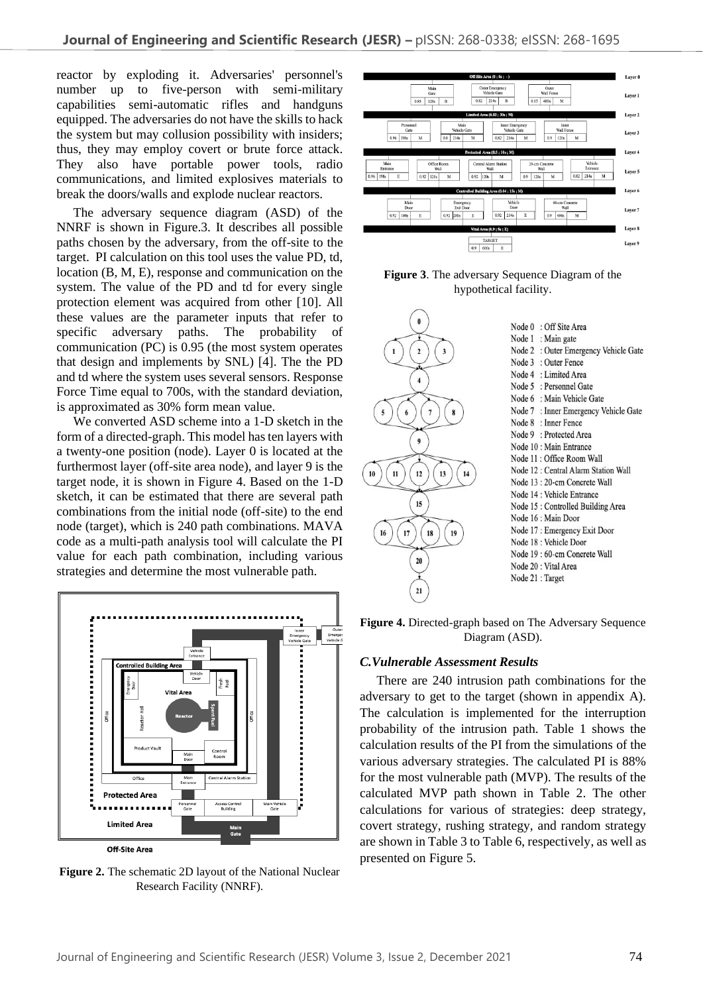reactor by exploding it. Adversaries' personnel's number up to five-person with semi-military capabilities semi-automatic rifles and handguns equipped. The adversaries do not have the skills to hack the system but may collusion possibility with insiders; thus, they may employ covert or brute force attack. They also have portable power tools, radio communications, and limited explosives materials to break the doors/walls and explode nuclear reactors.

The adversary sequence diagram (ASD) of the NNRF is shown in Figure.3. It describes all possible paths chosen by the adversary, from the off-site to the target. PI calculation on this tool uses the value PD, td, location (B, M, E), response and communication on the system. The value of the PD and td for every single protection element was acquired from other [10]. All these values are the parameter inputs that refer to specific adversary paths. The probability of communication (PC) is 0.95 (the most system operates that design and implements by SNL) [4]. The the PD and td where the system uses several sensors. Response Force Time equal to 700s, with the standard deviation, is approximated as 30% form mean value.

We converted ASD scheme into a 1-D sketch in the form of a directed-graph. This model has ten layers with a twenty-one position (node). Layer 0 is located at the furthermost layer (off-site area node), and layer 9 is the target node, it is shown in Figure 4. Based on the 1-D sketch, it can be estimated that there are several path combinations from the initial node (off-site) to the end node (target), which is 240 path combinations. MAVA code as a multi-path analysis tool will calculate the PI value for each path combination, including various strategies and determine the most vulnerable path.



**Figure 2.** The schematic 2D layout of the National Nuclear Research Facility (NNRF).



**Figure 3**. The adversary Sequence Diagram of the hypothetical facility.



**Figure 4.** Directed-graph based on The Adversary Sequence Diagram (ASD).

## *C.Vulnerable Assessment Results*

There are 240 intrusion path combinations for the adversary to get to the target (shown in appendix A). The calculation is implemented for the interruption probability of the intrusion path. Table 1 shows the calculation results of the PI from the simulations of the various adversary strategies. The calculated PI is 88% for the most vulnerable path (MVP). The results of the calculated MVP path shown in Table 2. The other calculations for various of strategies: deep strategy, covert strategy, rushing strategy, and random strategy are shown in Table 3 to Table 6, respectively, as well as presented on Figure 5.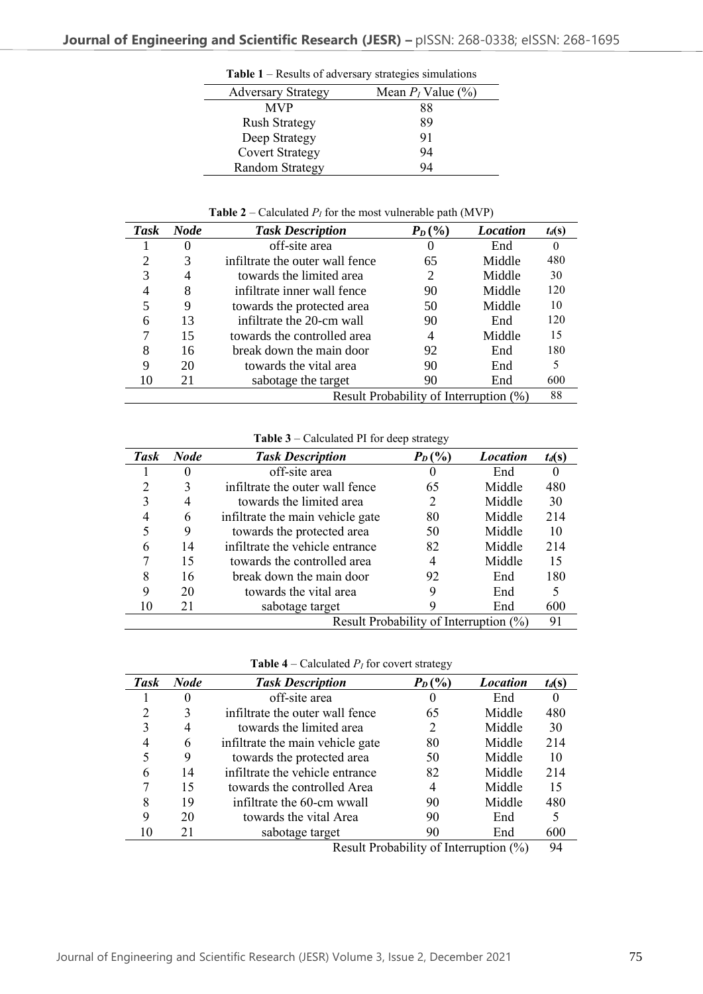|                           | $\ldots$             |
|---------------------------|----------------------|
| <b>Adversary Strategy</b> | Mean $P_I$ Value (%) |
| <b>MVP</b>                | 88                   |
| <b>Rush Strategy</b>      | 89                   |
| Deep Strategy             | 91                   |
| <b>Covert Strategy</b>    | 94                   |
| <b>Random Strategy</b>    | 94                   |

**Table 1** – Results of adversary strategies simulations

**Table 2** – Calculated  $P_I$  for the most vulnerable path (MVP)

| <b>Task</b>                            | <b>Node</b> | <b>Task Description</b>         | $P_D$ (%) | <b>Location</b> | $t_d(s)$ |
|----------------------------------------|-------------|---------------------------------|-----------|-----------------|----------|
|                                        | $\theta$    | off-site area                   | 0         | End             |          |
| 2                                      | 3           | infiltrate the outer wall fence | 65        | Middle          | 480      |
| 3                                      | 4           | towards the limited area        | 2         | Middle          | 30       |
| $\overline{4}$                         | 8           | infiltrate inner wall fence     | 90        | Middle          | 120      |
| 5                                      | 9           | towards the protected area      | 50        | Middle          | 10       |
| 6                                      | 13          | infiltrate the 20-cm wall       | 90        | End             | 120      |
| 7                                      | 15          | towards the controlled area     | 4         | Middle          | 15       |
| 8                                      | 16          | break down the main door        | 92        | End             | 180      |
| 9                                      | 20          | towards the vital area          | 90        | End             |          |
| 10                                     | 21          | sabotage the target             | 90        | End             | 600      |
| Result Probability of Interruption (%) |             |                                 | 88        |                 |          |

**Table 3** – Calculated PI for deep strategy

| <b>Task</b>                            | <b>Node</b> | <b>Task Description</b>          | $P_D$ (%)                   | <b>Location</b> | $t_d(s)$ |
|----------------------------------------|-------------|----------------------------------|-----------------------------|-----------------|----------|
|                                        | 0           | off-site area                    |                             | End             |          |
|                                        | 3           | infiltrate the outer wall fence  | 65                          | Middle          | 480      |
|                                        | 4           | towards the limited area         | $\mathcal{D}_{\mathcal{L}}$ | Middle          | 30       |
|                                        | 6           | infiltrate the main vehicle gate | 80                          | Middle          | 214      |
|                                        | 9           | towards the protected area       | 50                          | Middle          | 10       |
| 6                                      | 14          | infiltrate the vehicle entrance  | 82                          | Middle          | 214      |
|                                        | 15          | towards the controlled area      |                             | Middle          | 15       |
| 8                                      | 16          | break down the main door         | 92                          | End             | 180      |
| 9                                      | 20          | towards the vital area           | 9                           | End             |          |
| 10                                     | 21          | sabotage target                  |                             | End             | 600      |
| Result Probability of Interruption (%) |             |                                  | 91                          |                 |          |

**Table 4** – Calculated  $P_I$  for covert strategy

| Task | <b>Node</b> | <b>Task Description</b>          | $P_D$ (%) | <b>Location</b> | $t_d(s)$ |
|------|-------------|----------------------------------|-----------|-----------------|----------|
|      |             | off-site area                    |           | End             |          |
| າ    | 3           | infiltrate the outer wall fence  | 65        | Middle          | 480      |
| 3    | 4           | towards the limited area         | 2         | Middle          | 30       |
|      | 6           | infiltrate the main vehicle gate | 80        | Middle          | 214      |
|      | 9           | towards the protected area       | 50        | Middle          | 10       |
| 6    | 14          | infiltrate the vehicle entrance  | 82        | Middle          | 214      |
|      | 15          | towards the controlled Area      | 4         | Middle          | 15       |
| 8    | 19          | infiltrate the 60-cm wwall       | 90        | Middle          | 480      |
| 9    | 20          | towards the vital Area           | 90        | End             |          |
|      | 21          | sabotage target                  | 90        | End             | 600      |

Result Probability of Interruption (%) 94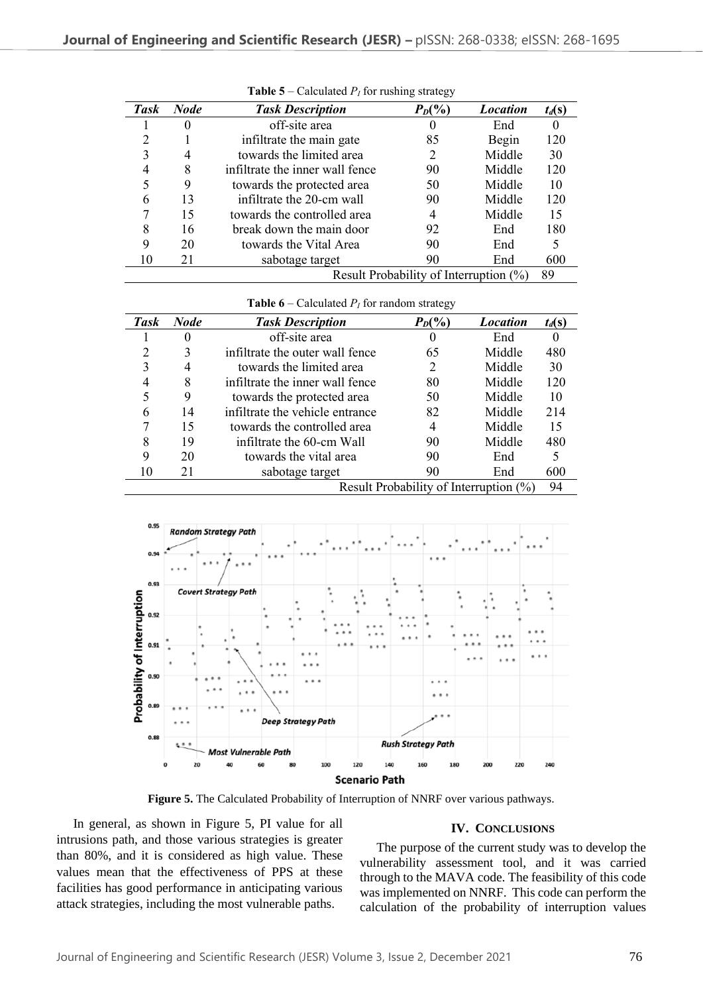| <b>Task</b>                            | <b>Node</b> | <b>Task Description</b>         | $P_D(\%)$ | <b>Location</b> | $t_d(s)$ |
|----------------------------------------|-------------|---------------------------------|-----------|-----------------|----------|
|                                        | 0           | off-site area                   | O         | End             |          |
| າ                                      |             | infiltrate the main gate        | 85        | Begin           | 120      |
|                                        | 4           | towards the limited area        | 2         | Middle          | 30       |
|                                        | 8           | infiltrate the inner wall fence | 90        | Middle          | 120      |
|                                        | 9           | towards the protected area      | 50        | Middle          | 10       |
| 6                                      | 13          | infiltrate the 20-cm wall       | 90        | Middle          | 120      |
|                                        | 15          | towards the controlled area     | 4         | Middle          | 15       |
| 8                                      | 16          | break down the main door        | 92        | End             | 180      |
| 9                                      | 20          | towards the Vital Area          | 90        | End             |          |
|                                        | 21          | sabotage target                 | 90        | End             | 600      |
| Result Probability of Interruption (%) |             |                                 | 89        |                 |          |

**Table 5** – Calculated  $P_I$  for rushing strategy

**Table 6** – Calculated  $P_I$  for random strategy

| Task                                   | <b>Node</b> | <b>Task Description</b>         | $P_D(\%)$ | <b>Location</b> | $t_d(s)$ |
|----------------------------------------|-------------|---------------------------------|-----------|-----------------|----------|
|                                        | 0           | off-site area                   |           | End             |          |
| ∍                                      | 3           | infiltrate the outer wall fence | 65        | Middle          | 480      |
| 3                                      | 4           | towards the limited area        | 2         | Middle          | 30       |
| 4                                      | 8           | infiltrate the inner wall fence | 80        | Middle          | 120      |
|                                        | 9           | towards the protected area      | 50        | Middle          | 10       |
| 6                                      | 14          | infiltrate the vehicle entrance | 82        | Middle          | 214      |
|                                        | 15          | towards the controlled area     |           | Middle          | 15       |
| 8                                      | 19          | infiltrate the 60-cm Wall       | 90        | Middle          | 480      |
| 9                                      | 20          | towards the vital area          | 90        | End             |          |
|                                        | 21          | sabotage target                 | 90        | End             | 600      |
| Result Probability of Interruption (%) |             |                                 |           | 94              |          |



**Figure 5.** The Calculated Probability of Interruption of NNRF over various pathways.

In general, as shown in Figure 5, PI value for all intrusions path, and those various strategies is greater than 80%, and it is considered as high value. These values mean that the effectiveness of PPS at these facilities has good performance in anticipating various attack strategies, including the most vulnerable paths.

## **IV. CONCLUSIONS**

The purpose of the current study was to develop the vulnerability assessment tool, and it was carried through to the MAVA code. The feasibility of this code was implemented on NNRF. This code can perform the calculation of the probability of interruption values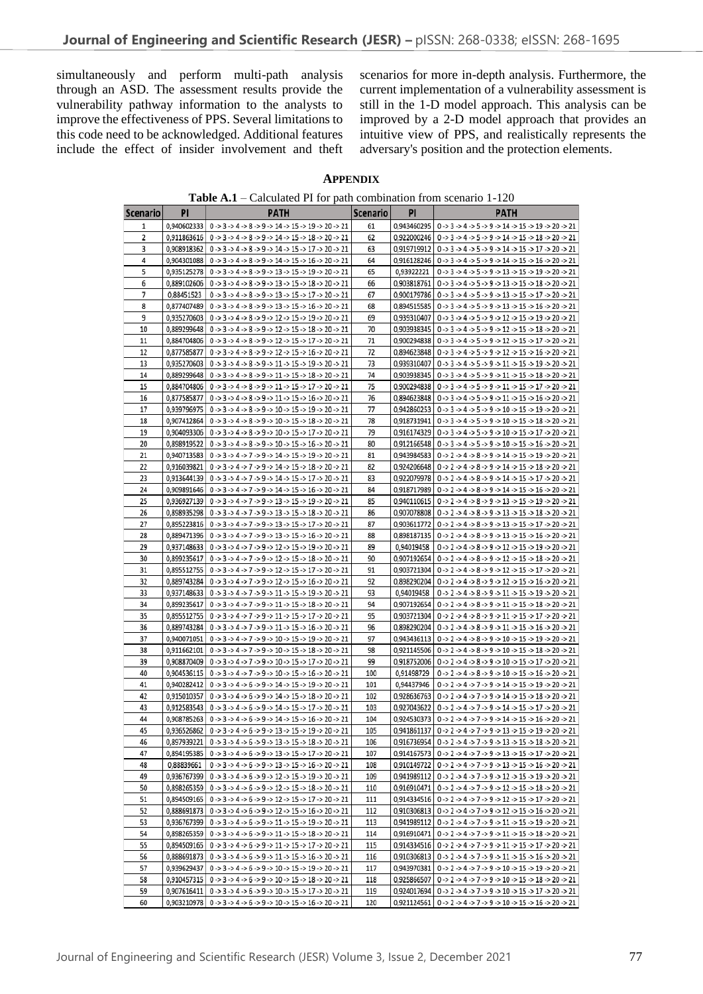simultaneously and perform multi-path analysis through an ASD. The assessment results provide the vulnerability pathway information to the analysts to improve the effectiveness of PPS. Several limitations to this code need to be acknowledged. Additional features include the effect of insider involvement and theft scenarios for more in-depth analysis. Furthermore, the current implementation of a vulnerability assessment is still in the 1-D model approach. This analysis can be improved by a 2-D model approach that provides an intuitive view of PPS, and realistically represents the adversary's position and the protection elements.

#### **APPENDIX**

**Table A.1** – Calculated PI for path combination from scenario 1-120

| Scenario | PI          | <b>PATH</b>                                                                                                                                            | <b>Scenario</b> | PI          | <b>PATH</b>                                                                                                                                            |
|----------|-------------|--------------------------------------------------------------------------------------------------------------------------------------------------------|-----------------|-------------|--------------------------------------------------------------------------------------------------------------------------------------------------------|
| 1        | 0,940602333 | $0 \rightarrow 3 \rightarrow 4 \rightarrow 8 \rightarrow 9 \rightarrow 14 \rightarrow 15 \rightarrow 19 \rightarrow 20 \rightarrow 21$                 | 61              | 0.943460295 | $0 \rightarrow 3 \rightarrow 4 \rightarrow 5 \rightarrow 9 \rightarrow 14 \rightarrow 15 \rightarrow 19 \rightarrow 20 \rightarrow 21$                 |
| 2        |             | 0,911863616   $0 \rightarrow 3 \rightarrow 4 \rightarrow 8 \rightarrow 9 \rightarrow 14 \rightarrow 15 \rightarrow 18 \rightarrow 20 \rightarrow 21$   | 62              |             | 0,922000246   $0 \rightarrow 3 \rightarrow 4 \rightarrow 5 \rightarrow 9 \rightarrow 14 \rightarrow 15 \rightarrow 18 \rightarrow 20 \rightarrow 21$   |
| 3        | 0,908918362 | $0 \rightarrow 3 \rightarrow 4 \rightarrow 8 \rightarrow 9 \rightarrow 14 \rightarrow 15 \rightarrow 17 \rightarrow 20 \rightarrow 21$                 | 63              |             | $0.919719912$   $0 \rightarrow 3 \rightarrow 4 \rightarrow 5 \rightarrow 9 \rightarrow 14 \rightarrow 15 \rightarrow 17 \rightarrow 20 \rightarrow 21$ |
| 4        |             | 0,904301088   $0 \rightarrow 3 \rightarrow 4 \rightarrow 8 \rightarrow 9 \rightarrow 14 \rightarrow 15 \rightarrow 16 \rightarrow 20 \rightarrow 21$   | 64              |             | 0,916128246   $0 \rightarrow 3 \rightarrow 4 \rightarrow 5 \rightarrow 9 \rightarrow 14 \rightarrow 15 \rightarrow 16 \rightarrow 20 \rightarrow 21$   |
| 5        |             | $0,935125278$   $0 \rightarrow 3 \rightarrow 4 \rightarrow 8 \rightarrow 9 \rightarrow 13 \rightarrow 15 \rightarrow 19 \rightarrow 20 \rightarrow 21$ | 65              | 0,93922221  | $0 \rightarrow 3 \rightarrow 4 \rightarrow 5 \rightarrow 9 \rightarrow 13 \rightarrow 15 \rightarrow 19 \rightarrow 20 \rightarrow 21$                 |
| 6        |             | $0,889102606$   0 -> 3 -> 4 -> 8 -> 9 -> 13 -> 15 -> 18 -> 20 -> 21                                                                                    | 66              |             | 0,903818761   $0 \rightarrow 3 \rightarrow 4 \rightarrow 5 \rightarrow 9 \rightarrow 13 \rightarrow 15 \rightarrow 18 \rightarrow 20 \rightarrow 21$   |
| 7        | 0,88451523  | $0 \rightarrow 3 \rightarrow 4 \rightarrow 8 \rightarrow 9 \rightarrow 13 \rightarrow 15 \rightarrow 17 \rightarrow 20 \rightarrow 21$                 | 67              |             | 0,900179786   0 -> 3 -> 4 -> 5 -> 9 -> 13 -> 15 -> 17 -> 20 -> 21                                                                                      |
| 8        |             | $0,877407489$   $0 \rightarrow 3 \rightarrow 4 \rightarrow 8 \rightarrow 9 \rightarrow 13 \rightarrow 15 \rightarrow 16 \rightarrow 20 \rightarrow 21$ | 68              |             | 0,894515585   0 -> 3 -> 4 -> 5 -> 9 -> 13 -> 15 -> 16 -> 20 -> 21                                                                                      |
| 9        |             | 0,935270603   0 -> 3 -> 4 -> 8 -> 9 -> 12 -> 15 -> 19 -> 20 -> 21                                                                                      | 69              |             | 0,939310407   0 -> 3 -> 4 -> 5 -> 9 -> 12 -> 15 -> 19 -> 20 -> 21                                                                                      |
| 10       |             | 0,889299648   0 -> 3 -> 4 -> 8 -> 9 -> 12 -> 15 -> 18 -> 20 -> 21                                                                                      | 70              |             | 0,903938345   $0 \rightarrow 3 \rightarrow 4 \rightarrow 5 \rightarrow 9 \rightarrow 12 \rightarrow 15 \rightarrow 18 \rightarrow 20 \rightarrow 21$   |
| 11       | 0,884704806 | $0 \rightarrow 3 \rightarrow 4 \rightarrow 8 \rightarrow 9 \rightarrow 12 \rightarrow 15 \rightarrow 17 \rightarrow 20 \rightarrow 21$                 | 71              | 0,900294838 | $0 \rightarrow 3 \rightarrow 4 \rightarrow 5 \rightarrow 9 \rightarrow 12 \rightarrow 15 \rightarrow 17 \rightarrow 20 \rightarrow 21$                 |
| 12       | 0,877585877 | $0 \rightarrow 3 \rightarrow 4 \rightarrow 8 \rightarrow 9 \rightarrow 12 \rightarrow 15 \rightarrow 16 \rightarrow 20 \rightarrow 21$                 | 72              |             | $0.894623848$   $0 \rightarrow 3 \rightarrow 4 \rightarrow 5 \rightarrow 9 \rightarrow 12 \rightarrow 15 \rightarrow 16 \rightarrow 20 \rightarrow 21$ |
| 13       | 0,935270603 | $0 \rightarrow 3 \rightarrow 4 \rightarrow 8 \rightarrow 9 \rightarrow 11 \rightarrow 15 \rightarrow 19 \rightarrow 20 \rightarrow 21$                 | 73              | 0,939310407 | $0 \rightarrow 3 \rightarrow 4 \rightarrow 5 \rightarrow 9 \rightarrow 11 \rightarrow 15 \rightarrow 19 \rightarrow 20 \rightarrow 21$                 |
| 14       |             | 0,889299648   $0 \rightarrow 3 \rightarrow 4 \rightarrow 8 \rightarrow 9 \rightarrow 11 \rightarrow 15 \rightarrow 18 \rightarrow 20 \rightarrow 21$   | 74              |             | 0,903938345   $0 \rightarrow 3 \rightarrow 4 \rightarrow 5 \rightarrow 9 \rightarrow 11 \rightarrow 15 \rightarrow 18 \rightarrow 20 \rightarrow 21$   |
| 15       | 0,884704806 | $0 \rightarrow 3 \rightarrow 4 \rightarrow 8 \rightarrow 9 \rightarrow 11 \rightarrow 15 \rightarrow 17 \rightarrow 20 \rightarrow 21$                 | 75              |             | 0,900294838   $0 \rightarrow 3 \rightarrow 4 \rightarrow 5 \rightarrow 9 \rightarrow 11 \rightarrow 15 \rightarrow 17 \rightarrow 20 \rightarrow 21$   |
| 16       | 0,877585877 | $0 \rightarrow 3 \rightarrow 4 \rightarrow 8 \rightarrow 9 \rightarrow 11 \rightarrow 15 \rightarrow 16 \rightarrow 20 \rightarrow 21$                 | 76              | 0,894623848 | $0 \rightarrow 3 \rightarrow 4 \rightarrow 5 \rightarrow 9 \rightarrow 11 \rightarrow 15 \rightarrow 16 \rightarrow 20 \rightarrow 21$                 |
| 17       | 0,939796975 | $0 \rightarrow 3 \rightarrow 4 \rightarrow 8 \rightarrow 9 \rightarrow 10 \rightarrow 15 \rightarrow 19 \rightarrow 20 \rightarrow 21$                 | 77              | 0.942860253 | $0 \rightarrow 3 \rightarrow 4 \rightarrow 5 \rightarrow 9 \rightarrow 10 \rightarrow 15 \rightarrow 19 \rightarrow 20 \rightarrow 21$                 |
| 18       | 0,907412864 | $0 \rightarrow 3 \rightarrow 4 \rightarrow 8 \rightarrow 9 \rightarrow 10 \rightarrow 15 \rightarrow 18 \rightarrow 20 \rightarrow 21$                 | 78              |             | 0,918731941   $0 \rightarrow 3 \rightarrow 4 \rightarrow 5 \rightarrow 9 \rightarrow 10 \rightarrow 15 \rightarrow 18 \rightarrow 20 \rightarrow 21$   |
| 19       | 0,904093306 | $0 \rightarrow 3 \rightarrow 4 \rightarrow 8 \rightarrow 9 \rightarrow 10 \rightarrow 15 \rightarrow 17 \rightarrow 20 \rightarrow 21$                 | 79              |             | 0,916174329 0 -> 3 -> 4 -> 5 -> 9 -> 10 -> 15 -> 17 -> 20 -> 21                                                                                        |
| 20       | 0,898919522 | $0 \rightarrow 3 \rightarrow 4 \rightarrow 8 \rightarrow 9 \rightarrow 10 \rightarrow 15 \rightarrow 16 \rightarrow 20 \rightarrow 21$                 | 80              |             | $0,912166548$   $0 \rightarrow 3 \rightarrow 4 \rightarrow 5 \rightarrow 9 \rightarrow 10 \rightarrow 15 \rightarrow 16 \rightarrow 20 \rightarrow 21$ |
| 21       | 0,940713583 | $0 \rightarrow 3 \rightarrow 4 \rightarrow 7 \rightarrow 9 \rightarrow 14 \rightarrow 15 \rightarrow 19 \rightarrow 20 \rightarrow 21$                 | 81              | 0,943984583 | $0 \rightarrow 2 \rightarrow 4 \rightarrow 8 \rightarrow 9 \rightarrow 14 \rightarrow 15 \rightarrow 19 \rightarrow 20 \rightarrow 21$                 |
| 22       | 0,916039821 | $0 \rightarrow 3 \rightarrow 4 \rightarrow 7 \rightarrow 9 \rightarrow 14 \rightarrow 15 \rightarrow 18 \rightarrow 20 \rightarrow 21$                 | 82              |             | $0.924206648$   $0 \rightarrow 2 \rightarrow 4 \rightarrow 8 \rightarrow 9 \rightarrow 14 \rightarrow 15 \rightarrow 18 \rightarrow 20 \rightarrow 21$ |
| 23       |             | $0.913644139$   $0 \rightarrow 3 \rightarrow 4 \rightarrow 7 \rightarrow 9 \rightarrow 14 \rightarrow 15 \rightarrow 17 \rightarrow 20 \rightarrow 21$ | 83              |             | 0,922079978   0 -> 2 -> 4 -> 8 -> 9 -> 14 -> 15 -> 17 -> 20 -> 21                                                                                      |
| 24       | 0,909891646 | 0 -> 3 -> 4 -> 7 -> 9 -> 14 -> 15 -> 16 -> 20 -> 21                                                                                                    | 84              |             | 0,918717989   0 -> 2 -> 4 -> 8 -> 9 -> 14 -> 15 -> 16 -> 20 -> 21                                                                                      |
| 25       |             | 0,936927139   $0 \rightarrow 3 \rightarrow 4 \rightarrow 7 \rightarrow 9 \rightarrow 13 \rightarrow 15 \rightarrow 19 \rightarrow 20 \rightarrow 21$   | 85              |             | 0,940110615   $0 \rightarrow 2 \rightarrow 4 \rightarrow 8 \rightarrow 9 \rightarrow 13 \rightarrow 15 \rightarrow 19 \rightarrow 20 \rightarrow 21$   |
| 26       |             | 0,898935298   0 -> 3 -> 4 -> 7 -> 9 -> 13 -> 15 -> 18 -> 20 -> 21                                                                                      | 86              |             | 0,907078808 0 -> 2 -> 4 -> 8 -> 9 -> 13 -> 15 -> 18 -> 20 -> 21                                                                                        |
| 27       |             | 0,895223816   0 -> 3 -> 4 -> 7 -> 9 -> 13 -> 15 -> 17 -> 20 -> 21                                                                                      | 87              |             | 0,903611772   $0 \rightarrow 2 \rightarrow 4 \rightarrow 8 \rightarrow 9 \rightarrow 13 \rightarrow 15 \rightarrow 17 \rightarrow 20 \rightarrow 21$   |
| 28       | 0,889471396 | $0 \rightarrow 3 \rightarrow 4 \rightarrow 7 \rightarrow 9 \rightarrow 13 \rightarrow 15 \rightarrow 16 \rightarrow 20 \rightarrow 21$                 | 88              |             | 0,898187135   0 -> 2 -> 4 -> 8 -> 9 -> 13 -> 15 -> 16 -> 20 -> 21                                                                                      |
| 29       |             | 0,937148633   0 -> 3 -> 4 -> 7 -> 9 -> 12 -> 15 -> 19 -> 20 -> 21                                                                                      | 89              | 0.94019458  | $0 \rightarrow 2 \rightarrow 4 \rightarrow 8 \rightarrow 9 \rightarrow 12 \rightarrow 15 \rightarrow 19 \rightarrow 20 \rightarrow 21$                 |
| 30       | 0,899235617 | $0 \rightarrow 3 \rightarrow 4 \rightarrow 7 \rightarrow 9 \rightarrow 12 \rightarrow 15 \rightarrow 18 \rightarrow 20 \rightarrow 21$                 | 90              | 0,907192654 | $0 \rightarrow 2 \rightarrow 4 \rightarrow 8 \rightarrow 9 \rightarrow 12 \rightarrow 15 \rightarrow 18 \rightarrow 20 \rightarrow 21$                 |
| 31       |             | $0,895512755$   0 -> 3 -> 4 -> 7 -> 9 -> 12 -> 15 -> 17 -> 20 -> 21                                                                                    | 91              |             | 0,903721304 0 -> 2 -> 4 -> 8 -> 9 -> 12 -> 15 -> 17 -> 20 -> 21                                                                                        |
| 32       | 0,889743284 | $0 \rightarrow 3 \rightarrow 4 \rightarrow 7 \rightarrow 9 \rightarrow 12 \rightarrow 15 \rightarrow 16 \rightarrow 20 \rightarrow 21$                 | 92              | 0,898290204 | $0 \rightarrow 2 \rightarrow 4 \rightarrow 8 \rightarrow 9 \rightarrow 12 \rightarrow 15 \rightarrow 16 \rightarrow 20 \rightarrow 21$                 |
| 33       | 0,937148633 | $0 \rightarrow 3 \rightarrow 4 \rightarrow 7 \rightarrow 9 \rightarrow 11 \rightarrow 15 \rightarrow 19 \rightarrow 20 \rightarrow 21$                 | 93              | 0,94019458  | $0 \rightarrow 2 \rightarrow 4 \rightarrow 8 \rightarrow 9 \rightarrow 11 \rightarrow 15 \rightarrow 19 \rightarrow 20 \rightarrow 21$                 |
| 34       |             | 0,899235617   $0 \rightarrow 3 \rightarrow 4 \rightarrow 7 \rightarrow 9 \rightarrow 11 \rightarrow 15 \rightarrow 18 \rightarrow 20 \rightarrow 21$   | 94              | 0,907192654 | $0 \rightarrow 2 \rightarrow 4 \rightarrow 8 \rightarrow 9 \rightarrow 11 \rightarrow 15 \rightarrow 18 \rightarrow 20 \rightarrow 21$                 |
| 35       |             | 0,895512755   0 -> 3 -> 4 -> 7 -> 9 -> 11 -> 15 -> 17 -> 20 -> 21                                                                                      | 95              |             | 0,903721304   $0 \rightarrow 2 \rightarrow 4 \rightarrow 8 \rightarrow 9 \rightarrow 11 \rightarrow 15 \rightarrow 17 \rightarrow 20 \rightarrow 21$   |
| 36       | 0,889743284 | $0 \rightarrow 3 \rightarrow 4 \rightarrow 7 \rightarrow 9 \rightarrow 11 \rightarrow 15 \rightarrow 16 \rightarrow 20 \rightarrow 21$                 | 96              |             | 0,898290204   0 -> 2 -> 4 -> 8 -> 9 -> 11 -> 15 -> 16 -> 20 -> 21                                                                                      |
| 37       | 0,940071051 | $0 \rightarrow 3 \rightarrow 4 \rightarrow 7 \rightarrow 9 \rightarrow 10 \rightarrow 15 \rightarrow 19 \rightarrow 20 \rightarrow 21$                 | 97              | 0,943436113 | $0 \rightarrow 2 \rightarrow 4 \rightarrow 8 \rightarrow 9 \rightarrow 10 \rightarrow 15 \rightarrow 19 \rightarrow 20 \rightarrow 21$                 |
| 38       | 0,911662101 | $0 \rightarrow 3 \rightarrow 4 \rightarrow 7 \rightarrow 9 \rightarrow 10 \rightarrow 15 \rightarrow 18 \rightarrow 20 \rightarrow 21$                 | 98              |             | 0,921145506   0 -> 2 -> 4 -> 8 -> 9 -> 10 -> 15 -> 18 -> 20 -> 21                                                                                      |
| 39       |             | $0,908870409$   $0 \rightarrow 3 \rightarrow 4 \rightarrow 7 \rightarrow 9 \rightarrow 10 \rightarrow 15 \rightarrow 17 \rightarrow 20 \rightarrow 21$ | 99              |             | 0,918752006   0 -> 2 -> 4 -> 8 -> 9 -> 10 -> 15 -> 17 -> 20 -> 21                                                                                      |
| 40       |             | 0,904536115   0 -> 3 -> 4 -> 7 -> 9 -> 10 -> 15 -> 16 -> 20 -> 21                                                                                      | 100             | 0,91498729  | $0 \rightarrow 2 \rightarrow 4 \rightarrow 8 \rightarrow 9 \rightarrow 10 \rightarrow 15 \rightarrow 16 \rightarrow 20 \rightarrow 21$                 |
| 41       | 0,940282412 | $0 \rightarrow 3 \rightarrow 4 \rightarrow 6 \rightarrow 9 \rightarrow 14 \rightarrow 15 \rightarrow 19 \rightarrow 20 \rightarrow 21$                 | 101             | 0,94437946  | $0 \rightarrow 2 \rightarrow 4 \rightarrow 7 \rightarrow 9 \rightarrow 14 \rightarrow 15 \rightarrow 19 \rightarrow 20 \rightarrow 21$                 |
| 42       | 0,915010357 | $0 \rightarrow 3 \rightarrow 4 \rightarrow 6 \rightarrow 9 \rightarrow 14 \rightarrow 15 \rightarrow 18 \rightarrow 20 \rightarrow 21$                 | 102             |             | 0,928636763   0 -> 2 -> 4 -> 7 -> 9 -> 14 -> 15 -> 18 -> 20 -> 21                                                                                      |
| 43       |             | 0,912583543   $0 \rightarrow 3 \rightarrow 4 \rightarrow 6 \rightarrow 9 \rightarrow 14 \rightarrow 15 \rightarrow 17 \rightarrow 20 \rightarrow 21$   | 103             |             | 0,927043622   0 -> 2 -> 4 -> 7 -> 9 -> 14 -> 15 -> 17 -> 20 -> 21                                                                                      |
| 44       |             | 0,908785263   0 -> 3 -> 4 -> 6 -> 9 -> 14 -> 15 -> 16 -> 20 -> 21                                                                                      | 104             |             | 0,924530373   0 -> 2 -> 4 -> 7 -> 9 -> 14 -> 15 -> 16 -> 20 -> 21                                                                                      |
| 45       | 0.936526862 | $0 \rightarrow 3 \rightarrow 4 \rightarrow 6 \rightarrow 9 \rightarrow 13 \rightarrow 15 \rightarrow 19 \rightarrow 20 \rightarrow 21$                 | 105             | 0.941861137 | $0 \rightarrow 2 \rightarrow 4 \rightarrow 7 \rightarrow 9 \rightarrow 13 \rightarrow 15 \rightarrow 19 \rightarrow 20 \rightarrow 21$                 |
| 46       |             | 0,897939221   0 -> 3 -> 4 -> 6 -> 9 -> 13 -> 15 -> 18 -> 20 -> 21                                                                                      | 106             |             | 0,916736954   0 -> 2 -> 4 -> 7 -> 9 -> 13 -> 15 -> 18 -> 20 -> 21                                                                                      |
| 47       |             | 0,894195385   0 -> 3 -> 4 -> 6 -> 9 -> 13 -> 15 -> 17 -> 20 -> 21                                                                                      | 107             |             | $0,914167573$   $0 \rightarrow 2 \rightarrow 4 \rightarrow 7 \rightarrow 9 \rightarrow 13 \rightarrow 15 \rightarrow 17 \rightarrow 20 \rightarrow 21$ |
| 48       | 0,88839661  | $0 \rightarrow 3 \rightarrow 4 \rightarrow 6 \rightarrow 9 \rightarrow 13 \rightarrow 15 \rightarrow 16 \rightarrow 20 \rightarrow 21$                 | 108             |             | 0,910149722   $0 \rightarrow 2 \rightarrow 4 \rightarrow 7 \rightarrow 9 \rightarrow 13 \rightarrow 15 \rightarrow 16 \rightarrow 20 \rightarrow 21$   |
| 49       |             | 0,936767399   0 -> 3 -> 4 -> 6 -> 9 -> 12 -> 15 -> 19 -> 20 -> 21                                                                                      | 109             |             | 0,941989112   0 -> 2 -> 4 -> 7 -> 9 -> 12 -> 15 -> 19 -> 20 -> 21                                                                                      |
| 50       |             | 0,898265359   $0 \rightarrow 3 \rightarrow 4 \rightarrow 6 \rightarrow 9 \rightarrow 12 \rightarrow 15 \rightarrow 18 \rightarrow 20 \rightarrow 21$   | 110             |             | 0,916910471   0 -> 2 -> 4 -> 7 -> 9 -> 12 -> 15 -> 18 -> 20 -> 21                                                                                      |
| 51       |             | 0,894509165   0 -> 3 -> 4 -> 6 -> 9 -> 12 -> 15 -> 17 -> 20 -> 21                                                                                      | 111             |             | 0,914334516   0 -> 2 -> 4 -> 7 -> 9 -> 12 -> 15 -> 17 -> 20 -> 21                                                                                      |
| 52       |             | 0,888691873   0 -> 3 -> 4 -> 6 -> 9 -> 12 -> 15 -> 16 -> 20 -> 21                                                                                      | 112             |             | 0,910306813   0 -> 2 -> 4 -> 7 -> 9 -> 12 -> 15 -> 16 -> 20 -> 21                                                                                      |
| 53       |             | 0,936767399   0 -> 3 -> 4 -> 6 -> 9 -> 11 -> 15 -> 19 -> 20 -> 21                                                                                      | 113             |             | 0,941989112   0 -> 2 -> 4 -> 7 -> 9 -> 11 -> 15 -> 19 -> 20 -> 21                                                                                      |
| 54       |             | $0,898265359$   $0 \rightarrow 3 \rightarrow 4 \rightarrow 6 \rightarrow 9 \rightarrow 11 \rightarrow 15 \rightarrow 18 \rightarrow 20 \rightarrow 21$ | 114             |             | 0,916910471   0 -> 2 -> 4 -> 7 -> 9 -> 11 -> 15 -> 18 -> 20 -> 21                                                                                      |
| 55       |             | 0,894509165   0 -> 3 -> 4 -> 6 -> 9 -> 11 -> 15 -> 17 -> 20 -> 21                                                                                      | 115             |             | 0,914334516   0 -> 2 -> 4 -> 7 -> 9 -> 11 -> 15 -> 17 -> 20 -> 21                                                                                      |
| 56       |             | 0,888691873   0 -> 3 -> 4 -> 6 -> 9 -> 11 -> 15 -> 16 -> 20 -> 21                                                                                      | 116             |             | 0,910306813   0 -> 2 -> 4 -> 7 -> 9 -> 11 -> 15 -> 16 -> 20 -> 21                                                                                      |
| 57       |             | 0,939629437   0 -> 3 -> 4 -> 6 -> 9 -> 10 -> 15 -> 19 -> 20 -> 21                                                                                      | 117             |             | 0,943970381   $0 \rightarrow 2 \rightarrow 4 \rightarrow 7 \rightarrow 9 \rightarrow 10 \rightarrow 15 \rightarrow 19 \rightarrow 20 \rightarrow 21$   |
| 58       |             | $0,910457315$   $0 \rightarrow 3 \rightarrow 4 \rightarrow 6 \rightarrow 9 \rightarrow 10 \rightarrow 15 \rightarrow 18 \rightarrow 20 \rightarrow 21$ | 118             | 0,925866507 | $0 \rightarrow 2 \rightarrow 4 \rightarrow 7 \rightarrow 9 \rightarrow 10 \rightarrow 15 \rightarrow 18 \rightarrow 20 \rightarrow 21$                 |
| 59       |             | 0,907616411   $0 \rightarrow 3 \rightarrow 4 \rightarrow 6 \rightarrow 9 \rightarrow 10 \rightarrow 15 \rightarrow 17 \rightarrow 20 \rightarrow 21$   | 119             |             | 0,924017694   0 -> 2 -> 4 -> 7 -> 9 -> 10 -> 15 -> 17 -> 20 -> 21                                                                                      |
| 60       |             | 0,903210978   0 -> 3 -> 4 -> 6 -> 9 -> 10 -> 15 -> 16 -> 20 -> 21                                                                                      | 120             |             | 0,921124561   0 -> 2 -> 4 -> 7 -> 9 -> 10 -> 15 -> 16 -> 20 -> 21                                                                                      |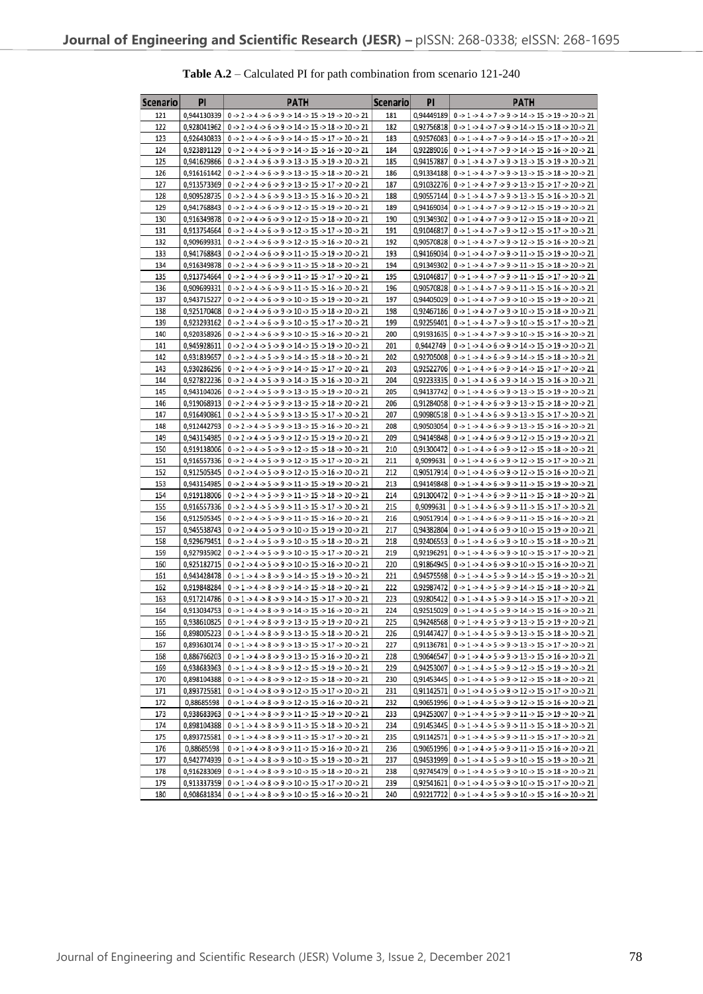| Scenario   | PI          | <b>PATH</b>                                                                                                                                                                                                                                                                                                    | Scenario   | PI | <b>PATH</b>                                                                                                                                                                                                             |
|------------|-------------|----------------------------------------------------------------------------------------------------------------------------------------------------------------------------------------------------------------------------------------------------------------------------------------------------------------|------------|----|-------------------------------------------------------------------------------------------------------------------------------------------------------------------------------------------------------------------------|
| 121        |             | 0,944130339   0 -> 2 -> 4 -> 6 -> 9 -> 14 -> 15 -> 19 -> 20 -> 21                                                                                                                                                                                                                                              | 181        |    | 0.94449189 0 -> 1 -> 4 -> 7 -> 9 -> 14 -> 15 -> 19 -> 20 -> 21                                                                                                                                                          |
| 122        |             | 0,928041962   0 -> 2 -> 4 -> 6 -> 9 -> 14 -> 15 -> 18 -> 20 -> 21                                                                                                                                                                                                                                              | 182        |    | 0,92756818   $0 \rightarrow 1 \rightarrow 4 \rightarrow 7 \rightarrow 9 \rightarrow 14 \rightarrow 15 \rightarrow 18 \rightarrow 20 \rightarrow 21$                                                                     |
| 123        |             | 0,926430833   0 -> 2 -> 4 -> 6 -> 9 -> 14 -> 15 -> 17 -> 20 -> 21                                                                                                                                                                                                                                              | 183        |    | 0,92576083   0 -> 1 -> 4 -> 7 -> 9 -> 14 -> 15 -> 17 -> 20 -> 21                                                                                                                                                        |
| 124        |             | 0,923891129   $0 \rightarrow 2 \rightarrow 4 \rightarrow 6 \rightarrow 9 \rightarrow 14 \rightarrow 15 \rightarrow 16 \rightarrow 20 \rightarrow 21$                                                                                                                                                           | 184        |    | 0,92289016   $0 \rightarrow 1 \rightarrow 4 \rightarrow 7 \rightarrow 9 \rightarrow 14 \rightarrow 15 \rightarrow 16 \rightarrow 20 \rightarrow 21$                                                                     |
| 125        |             | 0,941629866   0 -> 2 -> 4 -> 6 -> 9 -> 13 -> 15 -> 19 -> 20 -> 21                                                                                                                                                                                                                                              | 185        |    | 0,94157887   0 -> 1 -> 4 -> 7 -> 9 -> 13 -> 15 -> 19 -> 20 -> 21                                                                                                                                                        |
| 126        |             | $0.916161442$   $0 \rightarrow 2 \rightarrow 4 \rightarrow 6 \rightarrow 9 \rightarrow 13 \rightarrow 15 \rightarrow 18 \rightarrow 20 \rightarrow 21$                                                                                                                                                         | 186        |    | 0,91334188   $0 \rightarrow 1 \rightarrow 4 \rightarrow 7 \rightarrow 9 \rightarrow 13 \rightarrow 15 \rightarrow 18 \rightarrow 20 \rightarrow 21$                                                                     |
| 127        |             | 0,913573369   $0 \rightarrow 2 \rightarrow 4 \rightarrow 6 \rightarrow 9 \rightarrow 13 \rightarrow 15 \rightarrow 17 \rightarrow 20 \rightarrow 21$                                                                                                                                                           | 187        |    | 0,91032276   0 -> 1 -> 4 -> 7 -> 9 -> 13 -> 15 -> 17 -> 20 -> 21                                                                                                                                                        |
| 128        |             | 0,909528735   0 -> 2 -> 4 -> 6 -> 9 -> 13 -> 15 -> 16 -> 20 -> 21                                                                                                                                                                                                                                              | 188        |    | 0,90557144   $0 \rightarrow 1 \rightarrow 4 \rightarrow 7 \rightarrow 9 \rightarrow 13 \rightarrow 15 \rightarrow 16 \rightarrow 20 \rightarrow 21$                                                                     |
| 129        |             | $0.941768843$   $0 \rightarrow 2 \rightarrow 4 \rightarrow 6 \rightarrow 9 \rightarrow 12 \rightarrow 15 \rightarrow 19 \rightarrow 20 \rightarrow 21$                                                                                                                                                         | 189        |    | 0,94169034   0 -> 1 -> 4 -> 7 -> 9 -> 12 -> 15 -> 19 -> 20 -> 21                                                                                                                                                        |
| 130        |             | 0.916349878   $0 \rightarrow 2 \rightarrow 4 \rightarrow 6 \rightarrow 9 \rightarrow 12 \rightarrow 15 \rightarrow 18 \rightarrow 20 \rightarrow 21$                                                                                                                                                           | 190        |    | 0,91349302   $0 \rightarrow 1 \rightarrow 4 \rightarrow 7 \rightarrow 9 \rightarrow 12 \rightarrow 15 \rightarrow 18 \rightarrow 20 \rightarrow 21$                                                                     |
| 131        | 0.909699331 | 0,913754664   0 -> 2 -> 4 -> 6 -> 9 -> 12 -> 15 -> 17 -> 20 -> 21                                                                                                                                                                                                                                              | 191<br>192 |    | 0,91046817   $0 \rightarrow 1 \rightarrow 4 \rightarrow 7 \rightarrow 9 \rightarrow 12 \rightarrow 15 \rightarrow 17 \rightarrow 20 \rightarrow 21$                                                                     |
| 132<br>133 |             | $0 \rightarrow 2 \rightarrow 4 \rightarrow 6 \rightarrow 9 \rightarrow 12 \rightarrow 15 \rightarrow 16 \rightarrow 20 \rightarrow 21$                                                                                                                                                                         | 193        |    | 0,90570828 0 -> 1 -> 4 -> 7 -> 9 -> 12 -> 15 -> 16 -> 20 -> 21                                                                                                                                                          |
| 134        |             | 0,941768843   0 -> 2 -> 4 -> 6 -> 9 -> 11 -> 15 -> 19 -> 20 -> 21<br>$0,916349878$   $0 \rightarrow 2 \rightarrow 4 \rightarrow 6 \rightarrow 9 \rightarrow 11 \rightarrow 15 \rightarrow 18 \rightarrow 20 \rightarrow 21$                                                                                    | 194        |    | 0,94169034   0 -> 1 -> 4 -> 7 -> 9 -> 11 -> 15 -> 19 -> 20 -> 21<br>0,91349302   $0 \rightarrow 1 \rightarrow 4 \rightarrow 7 \rightarrow 9 \rightarrow 11 \rightarrow 15 \rightarrow 18 \rightarrow 20 \rightarrow 21$ |
| 135        |             | 0,913754664   0 -> 2 -> 4 -> 6 -> 9 -> 11 -> 15 -> 17 -> 20 -> 21                                                                                                                                                                                                                                              | 195        |    | 0,91046817   $0 \rightarrow 1 \rightarrow 4 \rightarrow 7 \rightarrow 9 \rightarrow 11 \rightarrow 15 \rightarrow 17 \rightarrow 20 \rightarrow 21$                                                                     |
| 136        | 0,909699331 | $0 \rightarrow 2 \rightarrow 4 \rightarrow 6 \rightarrow 9 \rightarrow 11 \rightarrow 15 \rightarrow 16 \rightarrow 20 \rightarrow 21$                                                                                                                                                                         | 196        |    | 0,90570828   0 -> 1 -> 4 -> 7 -> 9 -> 11 -> 15 -> 16 -> 20 -> 21                                                                                                                                                        |
| 137        | 0,943715227 | $0 \rightarrow 2 \rightarrow 4 \rightarrow 6 \rightarrow 9 \rightarrow 10 \rightarrow 15 \rightarrow 19 \rightarrow 20 \rightarrow 21$                                                                                                                                                                         | 197        |    | 0,94405029   0 -> 1 -> 4 -> 7 -> 9 -> 10 -> 15 -> 19 -> 20 -> 21                                                                                                                                                        |
| 138        |             | $0.925170408$   $0 \rightarrow 2 \rightarrow 4 \rightarrow 6 \rightarrow 9 \rightarrow 10 \rightarrow 15 \rightarrow 18 \rightarrow 20 \rightarrow 21$                                                                                                                                                         | 198        |    | 0,92467186 0 -> 1 -> 4 -> 7 -> 9 -> 10 -> 15 -> 18 -> 20 -> 21                                                                                                                                                          |
| 139        |             | 0,923293162   $0 \rightarrow 2 \rightarrow 4 \rightarrow 6 \rightarrow 9 \rightarrow 10 \rightarrow 15 \rightarrow 17 \rightarrow 20 \rightarrow 21$                                                                                                                                                           | 199        |    | 0,92259401   $0 \rightarrow 1 \rightarrow 4 \rightarrow 7 \rightarrow 9 \rightarrow 10 \rightarrow 15 \rightarrow 17 \rightarrow 20 \rightarrow 21$                                                                     |
| 140        |             | 0.920358926   $0 \rightarrow 2 \rightarrow 4 \rightarrow 6 \rightarrow 9 \rightarrow 10 \rightarrow 15 \rightarrow 16 \rightarrow 20 \rightarrow 21$                                                                                                                                                           | 200        |    | 0,91931635   $0 \rightarrow 1 \rightarrow 4 \rightarrow 7 \rightarrow 9 \rightarrow 10 \rightarrow 15 \rightarrow 16 \rightarrow 20 \rightarrow 21$                                                                     |
| 141        |             | 0,945928611   $0 \rightarrow 2 \rightarrow 4 \rightarrow 5 \rightarrow 9 \rightarrow 14 \rightarrow 15 \rightarrow 19 \rightarrow 20 \rightarrow 21$                                                                                                                                                           | 201        |    | $0,9442749$   $0 \rightarrow 1 \rightarrow 4 \rightarrow 6 \rightarrow 9 \rightarrow 14 \rightarrow 15 \rightarrow 19 \rightarrow 20 \rightarrow 21$                                                                    |
| 142        |             | 0,931839657   $0 \rightarrow 2 \rightarrow 4 \rightarrow 5 \rightarrow 9 \rightarrow 14 \rightarrow 15 \rightarrow 18 \rightarrow 20 \rightarrow 21$                                                                                                                                                           | 202        |    | 0,92705008   0 -> 1 -> 4 -> 6 -> 9 -> 14 -> 15 -> 18 -> 20 -> 21                                                                                                                                                        |
| 143        |             | 0,930286296   0 -> 2 -> 4 -> 5 -> 9 -> 14 -> 15 -> 17 -> 20 -> 21                                                                                                                                                                                                                                              | 203        |    | 0,92522706   0 -> 1 -> 4 -> 6 -> 9 -> 14 -> 15 -> 17 -> 20 -> 21                                                                                                                                                        |
| 144        |             | $0.927822236$   $0 \rightarrow 2 \rightarrow 4 \rightarrow 5 \rightarrow 9 \rightarrow 14 \rightarrow 15 \rightarrow 16 \rightarrow 20 \rightarrow 21$                                                                                                                                                         | 204        |    | 0,92233335 0 -> 1 -> 4 -> 6 -> 9 -> 14 -> 15 -> 16 -> 20 -> 21                                                                                                                                                          |
| 145        |             | 0,943104026   0 -> 2 -> 4 -> 5 -> 9 -> 13 -> 15 -> 19 -> 20 -> 21                                                                                                                                                                                                                                              | 205        |    | 0,94137742   $0 \rightarrow 1 \rightarrow 4 \rightarrow 6 \rightarrow 9 \rightarrow 13 \rightarrow 15 \rightarrow 19 \rightarrow 20 \rightarrow 21$                                                                     |
| 146        |             | 0,919068913   $0 \rightarrow 2 \rightarrow 4 \rightarrow 5 \rightarrow 9 \rightarrow 13 \rightarrow 15 \rightarrow 18 \rightarrow 20 \rightarrow 21$                                                                                                                                                           | 206        |    | 0,91284058   $0 \rightarrow 1 \rightarrow 4 \rightarrow 6 \rightarrow 9 \rightarrow 13 \rightarrow 15 \rightarrow 18 \rightarrow 20 \rightarrow 21$                                                                     |
| 147        |             | 0,916490861   0 -> 2 -> 4 -> 5 -> 9 -> 13 -> 15 -> 17 -> 20 -> 21                                                                                                                                                                                                                                              | 207        |    | 0.90980518   $0 \rightarrow 1 \rightarrow 4 \rightarrow 6 \rightarrow 9 \rightarrow 13 \rightarrow 15 \rightarrow 17 \rightarrow 20 \rightarrow 21$                                                                     |
| 148        | 0,912442793 | $0 \rightarrow 2 \rightarrow 4 \rightarrow 5 \rightarrow 9 \rightarrow 13 \rightarrow 15 \rightarrow 16 \rightarrow 20 \rightarrow 21$                                                                                                                                                                         | 208        |    | 0,90503054   $0 \rightarrow 1 \rightarrow 4 \rightarrow 6 \rightarrow 9 \rightarrow 13 \rightarrow 15 \rightarrow 16 \rightarrow 20 \rightarrow 21$                                                                     |
| 149        |             | 0,943154985   0 -> 2 -> 4 -> 5 -> 9 -> 12 -> 15 -> 19 -> 20 -> 21                                                                                                                                                                                                                                              | 209        |    | 0,94149848   $0 \rightarrow 1 \rightarrow 4 \rightarrow 6 \rightarrow 9 \rightarrow 12 \rightarrow 15 \rightarrow 19 \rightarrow 20 \rightarrow 21$                                                                     |
| 150        |             | 0,919138006   0 -> 2 -> 4 -> 5 -> 9 -> 12 -> 15 -> 18 -> 20 -> 21                                                                                                                                                                                                                                              | 210        |    | 0,91300472   $0 \rightarrow 1 \rightarrow 4 \rightarrow 6 \rightarrow 9 \rightarrow 12 \rightarrow 15 \rightarrow 18 \rightarrow 20 \rightarrow 21$                                                                     |
| 151<br>152 |             | 0,916557336   0 -> 2 -> 4 -> 5 -> 9 -> 12 -> 15 -> 17 -> 20 -> 21<br>0,912505345   0 -> 2 -> 4 -> 5 -> 9 -> 12 -> 15 -> 16 -> 20 -> 21                                                                                                                                                                         | 211<br>212 |    | 0,9099631   $0 \rightarrow 1 \rightarrow 4 \rightarrow 6 \rightarrow 9 \rightarrow 12 \rightarrow 15 \rightarrow 17 \rightarrow 20 \rightarrow 21$<br>0,90517914 0 -> 1 -> 4 -> 6 -> 9 -> 12 -> 15 -> 16 -> 20 -> 21    |
| 153        |             | $0,943154985$   $0 \rightarrow 2 \rightarrow 4 \rightarrow 5 \rightarrow 9 \rightarrow 11 \rightarrow 15 \rightarrow 19 \rightarrow 20 \rightarrow 21$                                                                                                                                                         | 213        |    | 0,94149848 0 -> 1 -> 4 -> 6 -> 9 -> 11 -> 15 -> 19 -> 20 -> 21                                                                                                                                                          |
| 154        |             | 0,919138006   0 -> 2 -> 4 -> 5 -> 9 -> 11 -> 15 -> 18 -> 20 -> 21                                                                                                                                                                                                                                              | 214        |    | 0,91300472   $0 \rightarrow 1 \rightarrow 4 \rightarrow 6 \rightarrow 9 \rightarrow 11 \rightarrow 15 \rightarrow 18 \rightarrow 20 \rightarrow 21$                                                                     |
| 155        |             | 0,916557336   0 -> 2 -> 4 -> 5 -> 9 -> 11 -> 15 -> 17 -> 20 -> 21                                                                                                                                                                                                                                              | 215        |    | $0,9099631 \mid 0 \rightarrow 1 \rightarrow 4 \rightarrow 6 \rightarrow 9 \rightarrow 11 \rightarrow 15 \rightarrow 17 \rightarrow 20 \rightarrow 21$                                                                   |
| 156        | 0,912505345 | $0 \rightarrow 2 \rightarrow 4 \rightarrow 5 \rightarrow 9 \rightarrow 11 \rightarrow 15 \rightarrow 16 \rightarrow 20 \rightarrow 21$                                                                                                                                                                         | 216        |    | 0,90517914   $0 \rightarrow 1 \rightarrow 4 \rightarrow 6 \rightarrow 9 \rightarrow 11 \rightarrow 15 \rightarrow 16 \rightarrow 20 \rightarrow 21$                                                                     |
| 157        |             | 0,945538743   0 -> 2 -> 4 -> 5 -> 9 -> 10 -> 15 -> 19 -> 20 -> 21                                                                                                                                                                                                                                              | 217        |    | 0,94382804   $0 \rightarrow 1 \rightarrow 4 \rightarrow 6 \rightarrow 9 \rightarrow 10 \rightarrow 15 \rightarrow 19 \rightarrow 20 \rightarrow 21$                                                                     |
| 158        |             | 0,929679451   $0 \rightarrow 2 \rightarrow 4 \rightarrow 5 \rightarrow 9 \rightarrow 10 \rightarrow 15 \rightarrow 18 \rightarrow 20 \rightarrow 21$                                                                                                                                                           | 218        |    | 0,92406553   $0 \rightarrow 1 \rightarrow 4 \rightarrow 6 \rightarrow 9 \rightarrow 10 \rightarrow 15 \rightarrow 18 \rightarrow 20 \rightarrow 21$                                                                     |
| 159        |             | 0,927935902   0 -> 2 -> 4 -> 5 -> 9 -> 10 -> 15 -> 17 -> 20 -> 21                                                                                                                                                                                                                                              | 219        |    | 0,92196291   $0 \rightarrow 1 \rightarrow 4 \rightarrow 6 \rightarrow 9 \rightarrow 10 \rightarrow 15 \rightarrow 17 \rightarrow 20 \rightarrow 21$                                                                     |
| 160        |             | $0.925182715$   $0 \rightarrow 2 \rightarrow 4 \rightarrow 5 \rightarrow 9 \rightarrow 10 \rightarrow 15 \rightarrow 16 \rightarrow 20 \rightarrow 21$                                                                                                                                                         | 220        |    | 0,91864945 0 -> 1 -> 4 -> 6 -> 9 -> 10 -> 15 -> 16 -> 20 -> 21                                                                                                                                                          |
| 161        |             | 0,943428478   0 -> 1 -> 4 -> 8 -> 9 -> 14 -> 15 -> 19 -> 20 -> 21                                                                                                                                                                                                                                              | 221        |    | 0,94575598 0 -> 1 -> 4 -> 5 -> 9 -> 14 -> 15 -> 19 -> 20 -> 21                                                                                                                                                          |
| 162        |             | 0,919848284   $0 \rightarrow 1 \rightarrow 4 \rightarrow 8 \rightarrow 9 \rightarrow 14 \rightarrow 15 \rightarrow 18 \rightarrow 20 \rightarrow 21$                                                                                                                                                           | 222        |    | 0.92987472   $0 \rightarrow 1 \rightarrow 4 \rightarrow 5 \rightarrow 9 \rightarrow 14 \rightarrow 15 \rightarrow 18 \rightarrow 20 \rightarrow 21$                                                                     |
| 163        |             | 0,917214786 0 -> 1 -> 4 -> 8 -> 9 -> 14 -> 15 -> 17 -> 20 -> 21                                                                                                                                                                                                                                                | 223        |    | 0,92805422 0 -> 1 -> 4 -> 5 -> 9 -> 14 -> 15 -> 17 -> 20 -> 21                                                                                                                                                          |
| 164        | 0.913034753 | $0 \rightarrow 1 \rightarrow 4 \rightarrow 8 \rightarrow 9 \rightarrow 14 \rightarrow 15 \rightarrow 16 \rightarrow 20 \rightarrow 21$                                                                                                                                                                         | 224        |    | 0.92515029 0 -> 1 -> 4 -> 5 -> 9 -> 14 -> 15 -> 16 -> 20 -> 21                                                                                                                                                          |
| 165        |             | 0,938610825 0 -> 1 -> 4 -> 8 -> 9 -> 13 -> 15 -> 19 -> 20 -> 21                                                                                                                                                                                                                                                | 225        |    | 0,94248568 $0 \rightarrow 1 \rightarrow 4 \rightarrow 5 \rightarrow 9 \rightarrow 13 \rightarrow 15 \rightarrow 19 \rightarrow 20 \rightarrow 21$                                                                       |
| 166        |             | 0,898005223   0 -> 1 -> 4 -> 8 -> 9 -> 13 -> 15 -> 18 -> 20 -> 21                                                                                                                                                                                                                                              | 226        |    | 0,91447427 0 -> 1 -> 4 -> 5 -> 9 -> 13 -> 15 -> 18 -> 20 -> 21                                                                                                                                                          |
| 167<br>168 |             | 0,893630174   $0 \rightarrow 1 \rightarrow 4 \rightarrow 8 \rightarrow 9 \rightarrow 13 \rightarrow 15 \rightarrow 17 \rightarrow 20 \rightarrow 21$<br>$0.886766203$   $0 \rightarrow 1 \rightarrow 4 \rightarrow 8 \rightarrow 9 \rightarrow 13 \rightarrow 15 \rightarrow 16 \rightarrow 20 \rightarrow 21$ | 227<br>228 |    | 0,91136781 0 -> 1 -> 4 -> 5 -> 9 -> 13 -> 15 -> 17 -> 20 -> 21<br>0,90646547 0 -> 1 -> 4 -> 5 -> 9 -> 13 -> 15 -> 16 -> 20 -> 21                                                                                        |
| 169        |             | 0,938683963   0 -> 1 -> 4 -> 8 -> 9 -> 12 -> 15 -> 19 -> 20 -> 21                                                                                                                                                                                                                                              | 229        |    | 0,94253007 0 -> 1 -> 4 -> 5 -> 9 -> 12 -> 15 -> 19 -> 20 -> 21                                                                                                                                                          |
| 170        |             | 0,898104388   0 -> 1 -> 4 -> 8 -> 9 -> 12 -> 15 -> 18 -> 20 -> 21                                                                                                                                                                                                                                              | 230        |    | 0,91453445   0 -> 1 -> 4 -> 5 -> 9 -> 12 -> 15 -> 18 -> 20 -> 21                                                                                                                                                        |
| 171        |             | 0,893725581   $0 \rightarrow 1 \rightarrow 4 \rightarrow 8 \rightarrow 9 \rightarrow 12 \rightarrow 15 \rightarrow 17 \rightarrow 20 \rightarrow 21$                                                                                                                                                           | 231        |    | 0,91142571 0 -> 1 -> 4 -> 5 -> 9 -> 12 -> 15 -> 17 -> 20 -> 21                                                                                                                                                          |
| 172        | 0,88685598  | $0 \rightarrow 1 \rightarrow 4 \rightarrow 8 \rightarrow 9 \rightarrow 12 \rightarrow 15 \rightarrow 16 \rightarrow 20 \rightarrow 21$                                                                                                                                                                         | 232        |    | 0,90651996 0 -> 1 -> 4 -> 5 -> 9 -> 12 -> 15 -> 16 -> 20 -> 21                                                                                                                                                          |
| 173        |             | 0,938683963   0 -> 1 -> 4 -> 8 -> 9 -> 11 -> 15 -> 19 -> 20 -> 21                                                                                                                                                                                                                                              | 233        |    | 0,94253007 0 -> 1 -> 4 -> 5 -> 9 -> 11 -> 15 -> 19 -> 20 -> 21                                                                                                                                                          |
| 174        |             | 0,898104388   0 -> 1 -> 4 -> 8 -> 9 -> 11 -> 15 -> 18 -> 20 -> 21                                                                                                                                                                                                                                              | 234        |    | 0,91453445   $0 \rightarrow 1 \rightarrow 4 \rightarrow 5 \rightarrow 9 \rightarrow 11 \rightarrow 15 \rightarrow 18 \rightarrow 20 \rightarrow 21$                                                                     |
| 175        |             | 0,893725581   0 -> 1 -> 4 -> 8 -> 9 -> 11 -> 15 -> 17 -> 20 -> 21                                                                                                                                                                                                                                              | 235        |    | 0,91142571   $0 \rightarrow 1 \rightarrow 4 \rightarrow 5 \rightarrow 9 \rightarrow 11 \rightarrow 15 \rightarrow 17 \rightarrow 20 \rightarrow 21$                                                                     |
| 176        | 0,88685598  | $0 \rightarrow 1 \rightarrow 4 \rightarrow 8 \rightarrow 9 \rightarrow 11 \rightarrow 15 \rightarrow 16 \rightarrow 20 \rightarrow 21$                                                                                                                                                                         | 236        |    | 0,90651996 0 -> 1 -> 4 -> 5 -> 9 -> 11 -> 15 -> 16 -> 20 -> 21                                                                                                                                                          |
| 177        |             | $0.942774939$   $0 \rightarrow 1 \rightarrow 4 \rightarrow 8 \rightarrow 9 \rightarrow 10 \rightarrow 15 \rightarrow 19 \rightarrow 20 \rightarrow 21$                                                                                                                                                         | 237        |    | 0,94531999 $0 \rightarrow 1 \rightarrow 4 \rightarrow 5 \rightarrow 9 \rightarrow 10 \rightarrow 15 \rightarrow 19 \rightarrow 20 \rightarrow 21$                                                                       |
| 178        |             | 0,916283069   0 -> 1 -> 4 -> 8 -> 9 -> 10 -> 15 -> 18 -> 20 -> 21                                                                                                                                                                                                                                              | 238        |    | 0,92745479 $0 \rightarrow 1 \rightarrow 4 \rightarrow 5 \rightarrow 9 \rightarrow 10 \rightarrow 15 \rightarrow 18 \rightarrow 20 \rightarrow 21$                                                                       |
| 179        |             | 0,913337359   $0 \rightarrow 1 \rightarrow 4 \rightarrow 8 \rightarrow 9 \rightarrow 10 \rightarrow 15 \rightarrow 17 \rightarrow 20 \rightarrow 21$                                                                                                                                                           | 239        |    | 0,92541621 0 -> 1 -> 4 -> 5 -> 9 -> 10 -> 15 -> 17 -> 20 -> 21                                                                                                                                                          |
| 180        |             | $0.908681834$ $0.51.54.58.59.510.515.516.520.521$                                                                                                                                                                                                                                                              | 240        |    | $0.92217722$ $0.51.54.55.59.510.515.516.520.521$                                                                                                                                                                        |

# **Table A.2** – Calculated PI for path combination from scenario 121-240